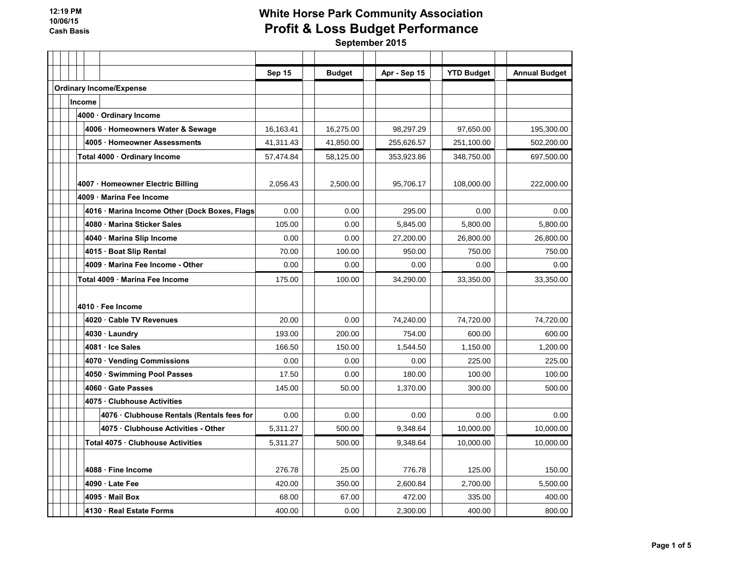|                                               | Sep 15    | <b>Budget</b> | Apr - Sep 15 | <b>YTD Budget</b> | <b>Annual Budget</b> |
|-----------------------------------------------|-----------|---------------|--------------|-------------------|----------------------|
| <b>Ordinary Income/Expense</b>                |           |               |              |                   |                      |
| Income                                        |           |               |              |                   |                      |
| 4000 · Ordinary Income                        |           |               |              |                   |                      |
| 4006 · Homeowners Water & Sewage              | 16,163.41 | 16,275.00     | 98,297.29    | 97,650.00         | 195,300.00           |
| 4005 · Homeowner Assessments                  | 41,311.43 | 41,850.00     | 255,626.57   | 251,100.00        | 502,200.00           |
| Total 4000 · Ordinary Income                  | 57,474.84 | 58,125.00     | 353,923.86   | 348.750.00        | 697,500.00           |
|                                               |           |               |              |                   |                      |
| 4007 · Homeowner Electric Billing             | 2.056.43  | 2.500.00      | 95.706.17    | 108.000.00        | 222.000.00           |
| 4009 Marina Fee Income                        |           |               |              |                   |                      |
| 4016 · Marina Income Other (Dock Boxes, Flags | 0.00      | 0.00          | 295.00       | 0.00              | 0.00                 |
| 4080 Marina Sticker Sales                     | 105.00    | 0.00          | 5.845.00     | 5.800.00          | 5,800.00             |
| 4040 Marina Slip Income                       | 0.00      | 0.00          | 27,200.00    | 26,800.00         | 26,800.00            |
| 4015 Boat Slip Rental                         | 70.00     | 100.00        | 950.00       | 750.00            | 750.00               |
| 4009 Marina Fee Income - Other                | 0.00      | 0.00          | 0.00         | 0.00              | 0.00                 |
| Total 4009 · Marina Fee Income                | 175.00    | 100.00        | 34,290.00    | 33,350.00         | 33,350.00            |
|                                               |           |               |              |                   |                      |
| 4010 · Fee Income                             |           |               |              |                   |                      |
| 4020 Cable TV Revenues                        | 20.00     | 0.00          | 74,240.00    | 74,720.00         | 74,720.00            |
| 4030 · Laundry                                | 193.00    | 200.00        | 754.00       | 600.00            | 600.00               |
| 4081 · Ice Sales                              | 166.50    | 150.00        | 1,544.50     | 1,150.00          | 1,200.00             |
| 4070 · Vending Commissions                    | 0.00      | 0.00          | 0.00         | 225.00            | 225.00               |
| 4050 · Swimming Pool Passes                   | 17.50     | 0.00          | 180.00       | 100.00            | 100.00               |
| 4060 Gate Passes                              | 145.00    | 50.00         | 1,370.00     | 300.00            | 500.00               |
| 4075 Clubhouse Activities                     |           |               |              |                   |                      |
| 4076 Clubhouse Rentals (Rentals fees for      | 0.00      | 0.00          | 0.00         | 0.00              | 0.00                 |
| 4075 Clubhouse Activities - Other             | 5,311.27  | 500.00        | 9,348.64     | 10,000.00         | 10,000.00            |
| Total 4075 · Clubhouse Activities             | 5,311.27  | 500.00        | 9,348.64     | 10,000.00         | 10,000.00            |
|                                               |           |               |              |                   |                      |
| 4088 · Fine Income                            | 276.78    | 25.00         | 776.78       | 125.00            | 150.00               |
| 4090 Late Fee                                 | 420.00    | 350.00        | 2,600.84     | 2,700.00          | 5,500.00             |
| 4095 Mail Box                                 | 68.00     | 67.00         | 472.00       | 335.00            | 400.00               |
| 4130 · Real Estate Forms                      | 400.00    | 0.00          | 2,300.00     | 400.00            | 800.00               |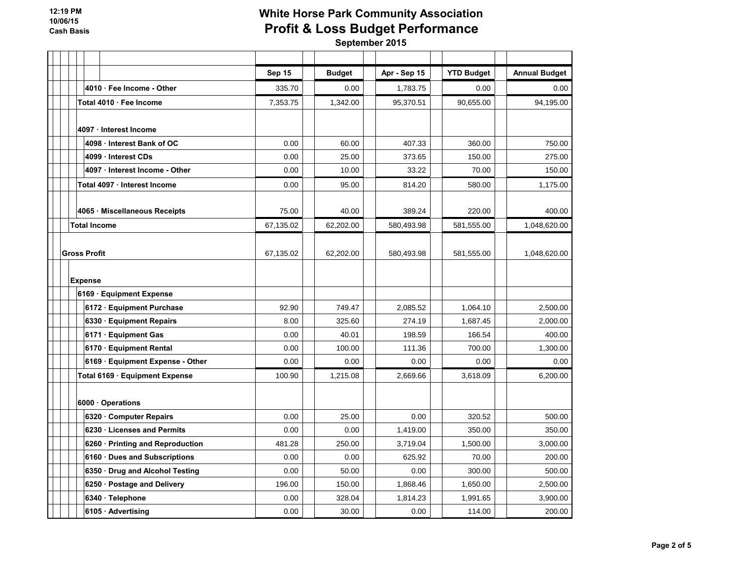|                                  | Sep 15    | <b>Budget</b> | Apr - Sep 15 | <b>YTD Budget</b> | <b>Annual Budget</b> |
|----------------------------------|-----------|---------------|--------------|-------------------|----------------------|
| 4010 Fee Income - Other          | 335.70    | 0.00          | 1,783.75     | 0.00              | 0.00                 |
| Total 4010 · Fee Income          | 7,353.75  | 1,342.00      | 95,370.51    | 90,655.00         | 94,195.00            |
|                                  |           |               |              |                   |                      |
| 4097 · Interest Income           |           |               |              |                   |                      |
| 4098 Interest Bank of OC         | 0.00      | 60.00         | 407.33       | 360.00            | 750.00               |
| 4099 Interest CDs                | 0.00      | 25.00         | 373.65       | 150.00            | 275.00               |
| 4097 · Interest Income - Other   | 0.00      | 10.00         | 33.22        | 70.00             | 150.00               |
| Total 4097 · Interest Income     | 0.00      | 95.00         | 814.20       | 580.00            | 1,175.00             |
| 4065 · Miscellaneous Receipts    | 75.00     | 40.00         | 389.24       | 220.00            | 400.00               |
| <b>Total Income</b>              | 67,135.02 | 62,202.00     | 580,493.98   | 581,555.00        | 1,048,620.00         |
|                                  |           |               |              |                   |                      |
| <b>Gross Profit</b>              | 67,135.02 | 62,202.00     | 580,493.98   | 581,555.00        | 1,048,620.00         |
|                                  |           |               |              |                   |                      |
| <b>Expense</b>                   |           |               |              |                   |                      |
| 6169 · Equipment Expense         |           |               |              |                   |                      |
| 6172 · Equipment Purchase        | 92.90     | 749.47        | 2,085.52     | 1,064.10          | 2,500.00             |
| 6330 Equipment Repairs           | 8.00      | 325.60        | 274.19       | 1,687.45          | 2,000.00             |
| 6171 Equipment Gas               | 0.00      | 40.01         | 198.59       | 166.54            | 400.00               |
| 6170 · Equipment Rental          | 0.00      | 100.00        | 111.36       | 700.00            | 1,300.00             |
| 6169 · Equipment Expense - Other | 0.00      | 0.00          | 0.00         | 0.00              | 0.00                 |
| Total 6169 · Equipment Expense   | 100.90    | 1,215.08      | 2,669.66     | 3,618.09          | 6,200.00             |
| 6000 Operations                  |           |               |              |                   |                      |
| 6320 Computer Repairs            | 0.00      | 25.00         | 0.00         | 320.52            | 500.00               |
| 6230 Licenses and Permits        | 0.00      | 0.00          | 1,419.00     | 350.00            | 350.00               |
| 6260 · Printing and Reproduction | 481.28    | 250.00        | 3,719.04     | 1,500.00          | 3,000.00             |
| 6160 Dues and Subscriptions      | 0.00      | 0.00          | 625.92       | 70.00             | 200.00               |
| 6350 Drug and Alcohol Testing    | 0.00      | 50.00         | 0.00         | 300.00            | 500.00               |
| 6250 · Postage and Delivery      | 196.00    | 150.00        | 1,868.46     | 1,650.00          | 2,500.00             |
| 6340 · Telephone                 | 0.00      | 328.04        | 1,814.23     | 1,991.65          | 3,900.00             |
| 6105 · Advertising               | 0.00      | 30.00         | 0.00         | 114.00            | 200.00               |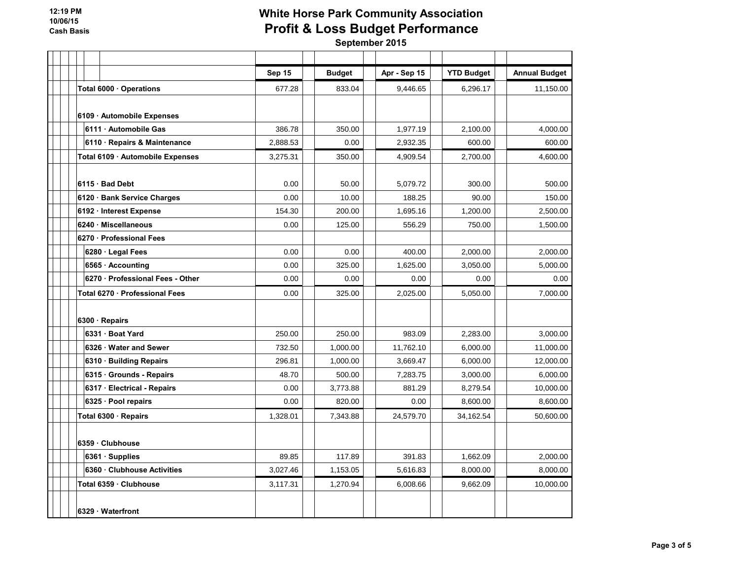|                                  | Sep 15   | <b>Budget</b> | Apr - Sep 15 | <b>YTD Budget</b> | <b>Annual Budget</b> |
|----------------------------------|----------|---------------|--------------|-------------------|----------------------|
| Total 6000 · Operations          | 677.28   | 833.04        | 9,446.65     | 6,296.17          | 11,150.00            |
|                                  |          |               |              |                   |                      |
| 6109 - Automobile Expenses       |          |               |              |                   |                      |
| 6111 Automobile Gas              | 386.78   | 350.00        | 1,977.19     | 2,100.00          | 4,000.00             |
| 6110 · Repairs & Maintenance     | 2,888.53 | 0.00          | 2,932.35     | 600.00            | 600.00               |
| Total 6109 · Automobile Expenses | 3,275.31 | 350.00        | 4,909.54     | 2,700.00          | 4,600.00             |
|                                  |          |               |              |                   |                      |
| $6115 \cdot$ Bad Debt            | 0.00     | 50.00         | 5,079.72     | 300.00            | 500.00               |
| 6120 · Bank Service Charges      | 0.00     | 10.00         | 188.25       | 90.00             | 150.00               |
| 6192 · Interest Expense          | 154.30   | 200.00        | 1,695.16     | 1,200.00          | 2,500.00             |
| 6240 · Miscellaneous             | 0.00     | 125.00        | 556.29       | 750.00            | 1,500.00             |
| 6270 Professional Fees           |          |               |              |                   |                      |
| 6280 · Legal Fees                | 0.00     | 0.00          | 400.00       | 2,000.00          | 2,000.00             |
| 6565 · Accounting                | 0.00     | 325.00        | 1,625.00     | 3,050.00          | 5,000.00             |
| 6270 Professional Fees - Other   | 0.00     | 0.00          | 0.00         | 0.00              | 0.00                 |
| Total 6270 · Professional Fees   | 0.00     | 325.00        | 2,025.00     | 5,050.00          | 7,000.00             |
|                                  |          |               |              |                   |                      |
| 6300 · Repairs                   |          |               |              |                   |                      |
| 6331 Boat Yard                   | 250.00   | 250.00        | 983.09       | 2.283.00          | 3.000.00             |
| 6326 Water and Sewer             | 732.50   | 1,000.00      | 11,762.10    | 6,000.00          | 11,000.00            |
| 6310 · Building Repairs          | 296.81   | 1,000.00      | 3,669.47     | 6,000.00          | 12,000.00            |
| 6315 Grounds - Repairs           | 48.70    | 500.00        | 7.283.75     | 3.000.00          | 6,000.00             |
| 6317 · Electrical - Repairs      | 0.00     | 3.773.88      | 881.29       | 8,279.54          | 10,000.00            |
| 6325 · Pool repairs              | 0.00     | 820.00        | 0.00         | 8,600.00          | 8,600.00             |
| Total 6300 · Repairs             | 1,328.01 | 7,343.88      | 24,579.70    | 34,162.54         | 50,600.00            |
|                                  |          |               |              |                   |                      |
| 6359 · Clubhouse                 |          |               |              |                   |                      |
| 6361 Supplies                    | 89.85    | 117.89        | 391.83       | 1,662.09          | 2,000.00             |
| 6360 Clubhouse Activities        | 3,027.46 | 1,153.05      | 5,616.83     | 8.000.00          | 8,000.00             |
| Total 6359 · Clubhouse           | 3,117.31 | 1,270.94      | 6,008.66     | 9,662.09          | 10,000.00            |
|                                  |          |               |              |                   |                      |
| 6329 Waterfront                  |          |               |              |                   |                      |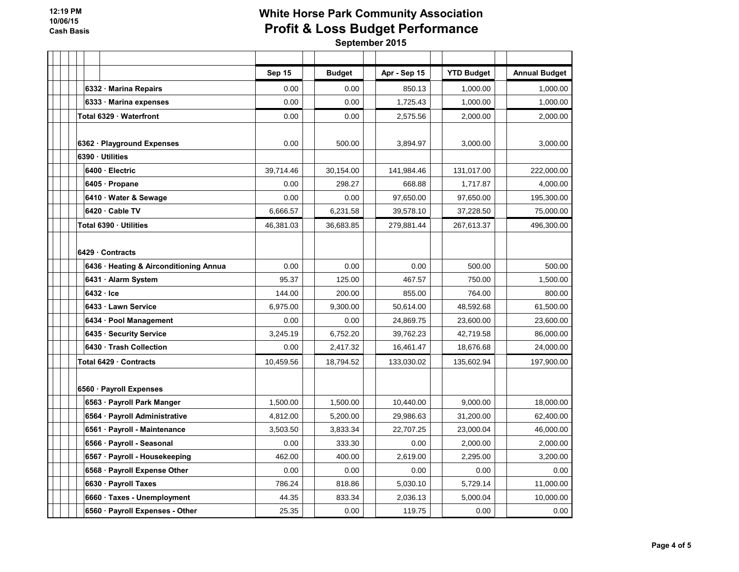|                                        | Sep 15    | <b>Budget</b> | Apr - Sep 15 | <b>YTD Budget</b> | <b>Annual Budget</b> |
|----------------------------------------|-----------|---------------|--------------|-------------------|----------------------|
| 6332 Marina Repairs                    | 0.00      | 0.00          | 850.13       | 1,000.00          | 1,000.00             |
| 6333 Marina expenses                   | 0.00      | 0.00          | 1,725.43     | 1,000.00          | 1,000.00             |
| Total 6329 Waterfront                  | 0.00      | 0.00          | 2,575.56     | 2,000.00          | 2,000.00             |
|                                        |           |               |              |                   |                      |
| 6362 · Playground Expenses             | 0.00      | 500.00        | 3,894.97     | 3,000.00          | 3,000.00             |
| 6390 Utilities                         |           |               |              |                   |                      |
| 6400 Electric                          | 39,714.46 | 30,154.00     | 141,984.46   | 131,017.00        | 222,000.00           |
| 6405 Propane                           | 0.00      | 298.27        | 668.88       | 1,717.87          | 4,000.00             |
| 6410 · Water & Sewage                  | 0.00      | 0.00          | 97,650.00    | 97,650.00         | 195,300.00           |
| 6420 · Cable TV                        | 6,666.57  | 6,231.58      | 39,578.10    | 37,228.50         | 75,000.00            |
| Total 6390 · Utilities                 | 46,381.03 | 36,683.85     | 279,881.44   | 267,613.37        | 496,300.00           |
|                                        |           |               |              |                   |                      |
| 6429 Contracts                         |           |               |              |                   |                      |
| 6436 · Heating & Airconditioning Annua | 0.00      | 0.00          | 0.00         | 500.00            | 500.00               |
| 6431 · Alarm System                    | 95.37     | 125.00        | 467.57       | 750.00            | 1,500.00             |
| 6432 Ice                               | 144.00    | 200.00        | 855.00       | 764.00            | 800.00               |
| 6433 Lawn Service                      | 6,975.00  | 9.300.00      | 50,614.00    | 48.592.68         | 61,500.00            |
| 6434 · Pool Management                 | 0.00      | 0.00          | 24,869.75    | 23,600.00         | 23,600.00            |
| 6435 · Security Service                | 3,245.19  | 6,752.20      | 39,762.23    | 42,719.58         | 86,000.00            |
| 6430 Trash Collection                  | 0.00      | 2,417.32      | 16,461.47    | 18,676.68         | 24,000.00            |
| Total 6429 · Contracts                 | 10,459.56 | 18,794.52     | 133,030.02   | 135,602.94        | 197,900.00           |
|                                        |           |               |              |                   |                      |
| 6560 · Payroll Expenses                |           |               |              |                   |                      |
| 6563 · Payroll Park Manger             | 1,500.00  | 1,500.00      | 10,440.00    | 9,000.00          | 18,000.00            |
| 6564 · Payroll Administrative          | 4,812.00  | 5,200.00      | 29,986.63    | 31,200.00         | 62,400.00            |
| 6561 · Payroll - Maintenance           | 3,503.50  | 3,833.34      | 22,707.25    | 23,000.04         | 46,000.00            |
| 6566 · Payroll - Seasonal              | 0.00      | 333.30        | 0.00         | 2,000.00          | 2,000.00             |
| 6567 · Payroll - Housekeeping          | 462.00    | 400.00        | 2.619.00     | 2,295.00          | 3,200.00             |
| 6568 · Payroll Expense Other           | 0.00      | 0.00          | 0.00         | 0.00              | 0.00                 |
| 6630 · Payroll Taxes                   | 786.24    | 818.86        | 5,030.10     | 5,729.14          | 11,000.00            |
| 6660 Taxes - Unemployment              | 44.35     | 833.34        | 2,036.13     | 5,000.04          | 10,000.00            |
| 6560 · Payroll Expenses - Other        | 25.35     | 0.00          | 119.75       | 0.00              | 0.00                 |